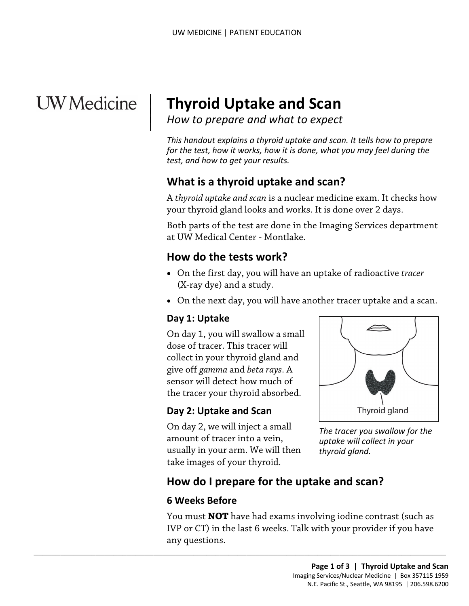# **UW** Medicine

|

# <sup>|</sup>**Thyroid Uptake and Scan** <sup>|</sup>*How to prepare and what to expect* <sup>|</sup>

*This handout explains a thyroid uptake and scan. It tells how to prepare for the test, how it works, how it is done, what you may feel during the test, and how to get your results.* 

# **What is a thyroid uptake and scan?**

A *thyroid uptake and scan* is a nuclear medicine exam. It checks how your thyroid gland looks and works. It is done over 2 days.

 at UW Medical Center - Montlake. Both parts of the test are done in the Imaging Services department

# **How do the tests work?**

- • On the first day, you will have an uptake of radioactive *tracer* (X-ray dye) and a study. by your thyroid gland looks and works. It is done over 2 days.<br>
Both parts of the test are done in the Imaging Services deparent of UW Medical Center - Montlake.<br> **How do the tests work?**<br>
• On the first day, you will have
	- On the next day, you will have another tracer uptake and a scan.

#### **Day 1: Uptake**

 sensor will detect how much of the tracer your thyroid absorbed. On day 1, you will swallow a small dose of tracer. This tracer will collect in your thyroid gland and give off *gamma* and *beta rays*. A

#### **Day 2: Uptake and Scan**

On day 2, we will inject a small amount of tracer into a vein, usually in your arm. We will then take images of your thyroid.

 $\_$  ,  $\_$  ,  $\_$  ,  $\_$  ,  $\_$  ,  $\_$  ,  $\_$  ,  $\_$  ,  $\_$  ,  $\_$  ,  $\_$  ,  $\_$  ,  $\_$  ,  $\_$  ,  $\_$  ,  $\_$  ,  $\_$  ,  $\_$  ,  $\_$  ,  $\_$  ,  $\_$  ,  $\_$  ,  $\_$  ,  $\_$  ,  $\_$  ,  $\_$  ,  $\_$  ,  $\_$  ,  $\_$  ,  $\_$  ,  $\_$  ,  $\_$  ,  $\_$  ,  $\_$  ,  $\_$  ,  $\_$  ,  $\_$  ,



*The tracer you swallow for the uptake will collect in your thyroid gland.* 

# **How do I prepare for the uptake and scan?**

#### **6 Weeks Before**

You must **NOT** have had exams involving iodine contrast (such as IVP or CT) in the last 6 weeks. Talk with your provider if you have any questions.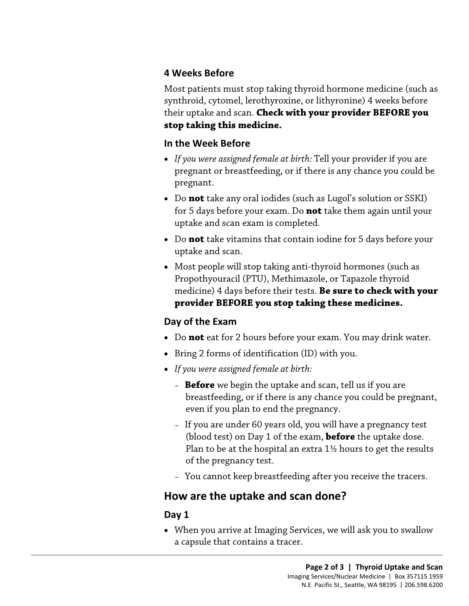#### **4 Weeks Before**

 Most patients must stop taking thyroid hormone medicine (such as synthroid, cytomel, lerothyroxine, or lithyronine) 4 weeks before their uptake and scan. **Check with your provider BEFORE you stop taking this medicine.** 

#### **In the Week Before**

- *If you were assigned female at birth:* Tell your provider if you are pregnant or breastfeeding, or if there is any chance you could be pregnant.
- for 5 days before your exam. Do **not** take them again until your uptake and scan exam is completed. • Do **not** take any oral iodides (such as Lugol's solution or SSKI)
- Do **not** take vitamins that contain iodine for 5 days before your uptake and scan.
- • Most people will stop taking anti-thyroid hormones (such as uptake and scan exam is completed.<br>• Do **not** take vitamins that contain iodine for 5 days before youth that contain iodine for 5 days before youth that and scan.<br>• Most people will stop taking anti-thyroid hormones (such Propothyouracil (PTU), Methimazole, or Tapazole thyroid medicine) 4 days before their tests. **Be sure to check with your provider BEFORE you stop taking these medicines.**

#### **Day of the Exam**

- Do **not** eat for 2 hours before your exam. You may drink water.
- Bring 2 forms of identification (ID) with you.
- *If you were assigned female at birth:*
	- **Before** we begin the uptake and scan, tell us if you are breastfeeding, or if there is any chance you could be pregnant, even if you plan to end the pregnancy.
	- – If you are under 60 years old, you will have a pregnancy test (blood test) on Day 1 of the exam, **before** the uptake dose. Plan to be at the hospital an extra  $1\frac{1}{2}$  hours to get the results of the pregnancy test.
	- You cannot keep breastfeeding after you receive the tracers.

## **How are the uptake and scan done?**

 $\_$  ,  $\_$  ,  $\_$  ,  $\_$  ,  $\_$  ,  $\_$  ,  $\_$  ,  $\_$  ,  $\_$  ,  $\_$  ,  $\_$  ,  $\_$  ,  $\_$  ,  $\_$  ,  $\_$  ,  $\_$  ,  $\_$  ,  $\_$  ,  $\_$  ,  $\_$  ,  $\_$  ,  $\_$  ,  $\_$  ,  $\_$  ,  $\_$  ,  $\_$  ,  $\_$  ,  $\_$  ,  $\_$  ,  $\_$  ,  $\_$  ,  $\_$  ,  $\_$  ,  $\_$  ,  $\_$  ,  $\_$  ,  $\_$  ,

#### **Day 1**

 • When you arrive at Imaging Services, we will ask you to swallow a capsule that contains a tracer.